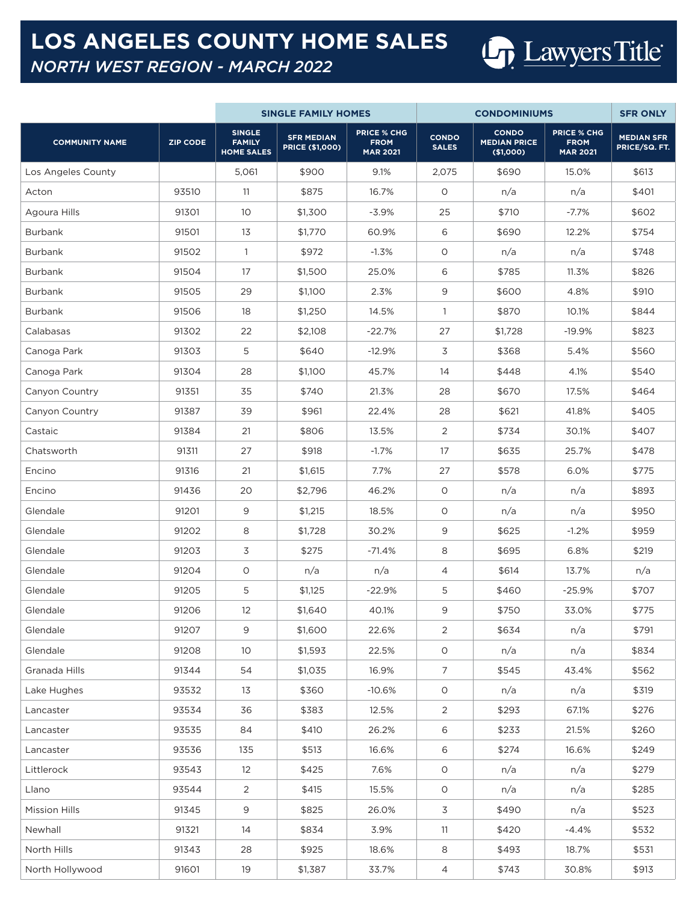## **LOS ANGELES COUNTY HOME SALES** *NORTH WEST REGION - MARCH 2022*

Los Angeles County 2,075 5,061 5,061 5690 9.1% 2,075 5690 15.0% \$613 Acton 93510 11 \$875 16.7% 0 n/a n/a \$401 Agoura Hills | 91301 | 10 | \$1,300 | -3.9% | 25 | \$710 | -7.7% | \$602 Burbank 91501 13 \$1,770 60.9% 6 \$690 12.2% \$754 Burbank 91502 1 \$972 -1.3% 0 n/a n/a \$748 Burbank 91504 17 \$1,500 25.0% 6 \$785 11.3% \$826 Burbank 91505 29 \$1,100 2.3% 9 \$600 4.8% \$910 Burbank 91506 18 \$1,250 14.5% 1 \$870 10.1% \$844 Calabasas 91302 22 \$2,108 -22.7% 27 \$1,728 -19.9% \$823 Canoga Park | 91303 | 5 | \$640 | -12.9% | 3 | \$368 | 5.4% | \$560 Canoga Park | 91304 | 28 | \$1,100 | 45.7% | 14 | \$448 | 4.1% | \$540 Canyon Country | 91351 | 35 | \$740 | 21.3% | 28 | \$670 | 17.5% | \$464 Canyon Country 201387 39 \$961 22.4% 28 \$621 41.8% \$405 Castaic | 91384 | 21 \$806 | 13.5% | \$734 30.1% | \$407 Chatsworth | 91311 | 27 | \$918 | -1.7% | 17 | \$635 | 25.7% | \$478 Encino 91316 21 \$1,615 7.7% 27 \$578 6.0% \$775 Encino 91436 20 \$2,796 46.2% 0 n/a n/a \$893 Glendale 91201 9 \$1,215 18.5% 0 n/a n/a \$950 Glendale 91202 8 \$1,728 30.2% 9 \$625 -1.2% \$959 Glendale | 91203 3 \$275 -71.4% \$695 \$219 Glendale 91204 0 n/a n/a 4 \$614 13.7% n/a Glendale 91205 5 \$1,125 -22.9% 5 \$460 -25.9% \$707 Glendale 91206 12 \$1,640 40.1% 9 \$750 33.0% \$775 Glendale 91207 9 \$1,600 22.6% 2 \$634 n/a \$791 Glendale 91208 10 \$1,593 22.5% 0 n/a n/a \$834 Granada Hills | 91344 | 54 | \$1,035 | 16.9% | 7 | \$545 | 43.4% | \$562 Lake Hughes | 93532 | 13 | \$360 | -10.6% | 0 | n/a | m/a | \$319 Lancaster 93534 36 \$383 12.5% 2 \$293 67.1% \$276 Lancaster 93535 84 \$410 26.2% 6 \$233 21.5% \$260 Lancaster 93536 135 \$513 16.6% 6 \$274 16.6% \$249 Littlerock 93543 12 \$425 7.6% 0 n/a n/a \$279 Llano 93544 2 \$415 15.5% 0 n/a n/a \$285 Mission Hills | 91345 | 9 | \$825 | 26.0% | 3 | \$490 | n/a | \$523 Newhall 91321 14 \$834 3.9% 11 \$420 -4.4% \$532 North Hills | 91343 | 28 | \$925 | 18.6% | 8 | \$493 | 18.7% | \$531 North Hollywood 19 91601 | 19 | \$1,387 | 33.7% | 4 | \$743 | 30.8% | \$913 **SINGLE FAMILY HOMES CONDOMINIUMS SFR ONLY COMMUNITY NAME ZIP CODE SINGLE FAMILY HOME SALES SFR MEDIAN PRICE (\$1,000) PRICE % CHG FROM MAR 2021 CONDO SALES CONDO MEDIAN PRICE (\$1,000) PRICE % CHG FROM MAR 2021 MEDIAN SFR PRICE/SQ. FT.**

**Un** Lawyers Title